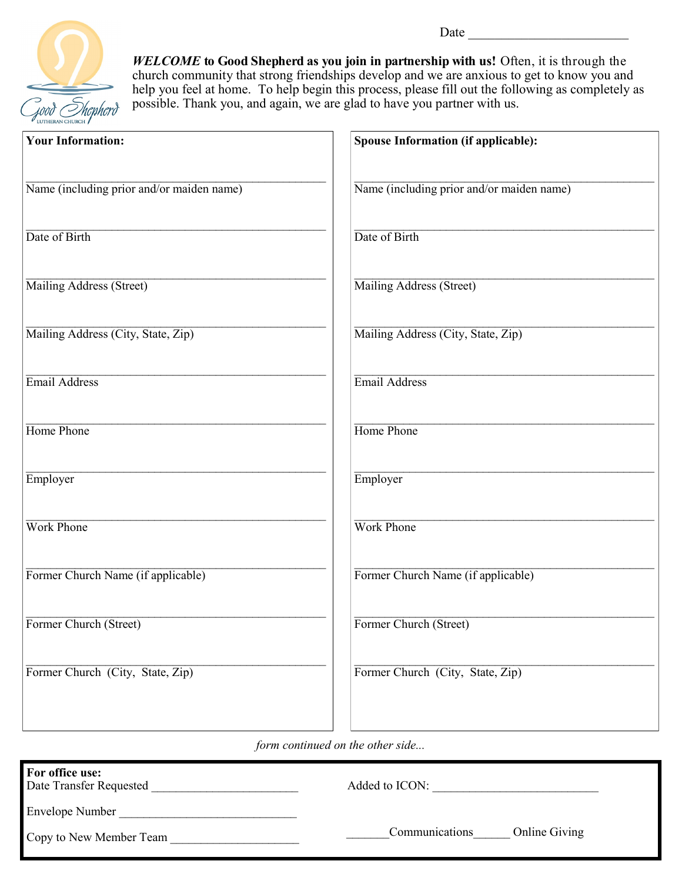

*WELCOME* **to Good Shepherd as you join in partnership with us!** Often, it is through the church community that strong friendships develop and we are anxious to get to know you and help you feel at home. To help begin this process, please fill out the following as completely as possible. Thank you, and again, we are glad to have you partner with us.

| <b>Your Information:</b>                  | Spouse Information (if applicable):       |
|-------------------------------------------|-------------------------------------------|
| Name (including prior and/or maiden name) | Name (including prior and/or maiden name) |
| Date of Birth                             | Date of Birth                             |
| Mailing Address (Street)                  | Mailing Address (Street)                  |
| Mailing Address (City, State, Zip)        | Mailing Address (City, State, Zip)        |
| Email Address                             | Email Address                             |
| Home Phone                                | Home Phone                                |
| Employer                                  | Employer                                  |
| Work Phone                                | Work Phone                                |
| Former Church Name (if applicable)        | Former Church Name (if applicable)        |
| Former Church (Street)                    | Former Church (Street)                    |
| Former Church (City, State, Zip)          | Former Church (City, State, Zip)          |
|                                           |                                           |

*form continued on the other side...*

| For office use:<br>Date Transfer Requested | Added to ICON:                         |
|--------------------------------------------|----------------------------------------|
| <b>Envelope Number</b>                     |                                        |
| Copy to New Member Team                    | <b>Online Giving</b><br>Communications |

Date